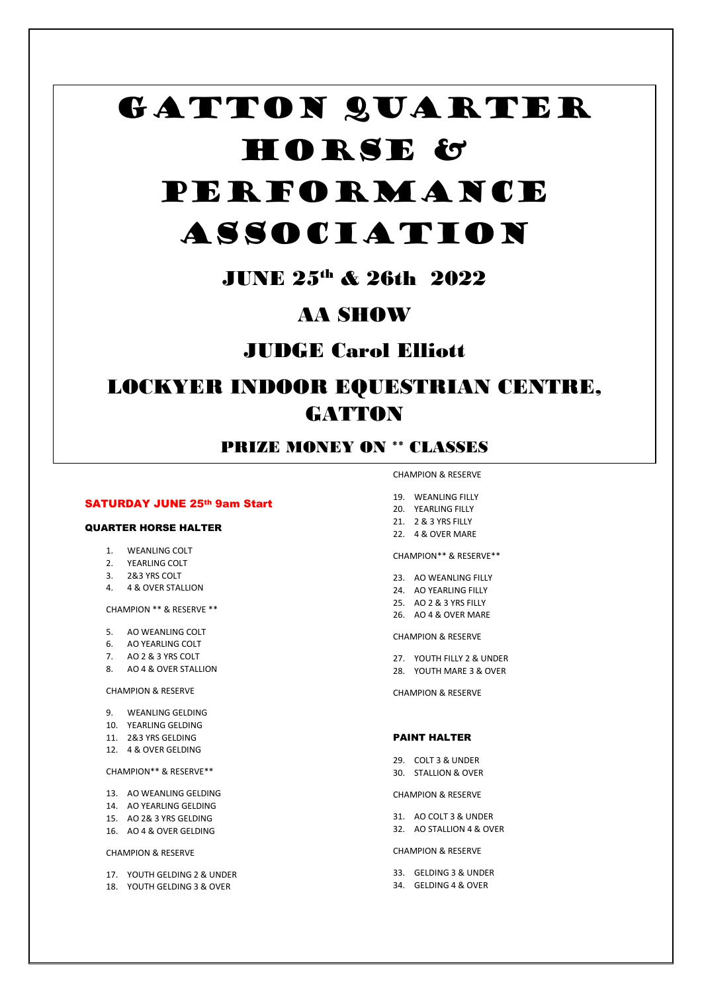# GATTON QUARTER HORSE & PERFORMANCE

# ASSOCIATION

# JUNE 25th & 26th 2022

# AA SHOW

# JUDGE Carol Elliott

# LOCKYER INDOOR EQUESTRIAN CENTRE, **GATTON**

# PRIZE MONEY ON \*\* CLASSES

# SATURDAY JUNE 25th 9am Start

#### QUARTER HORSE HALTER

# 1. WEANLING COLT

- 2. YEARLING COLT
- 3. 2&3 YRS COLT
- 4. 4 & OVER STALLION

CHAMPION \*\* & RESERVE \*\*

- 5. AO WEANLING COLT
- 6. AO YEARLING COLT
- 7. AO 2 & 3 YRS COLT
- 8. AO 4 & OVER STALLION

#### CHAMPION & RESERVE

- 9. WEANLING GELDING
- 10. YEARLING GELDING
- 11. 2&3 YRS GELDING
- 12. 4 & OVER GELDING

#### CHAMPION\*\* & RESERVE\*\*

- 13. AO WEANLING GELDING
- 14. AO YEARLING GELDING
- 15. AO 2& 3 YRS GELDING
- 16. AO 4 & OVER GELDING

#### CHAMPION & RESERVE

- 17. YOUTH GELDING 2 & UNDER
- 18. YOUTH GELDING 3 & OVER
- CHAMPION & RESERVE
- 19. WEANLING FILLY
- 21. 2 & 3 YRS FILLY
- 
- 

#### CHAMPION\*\* & RESERVE\*\*

- 23. AO WEANLING FILLY
- 
- 
- 26. AO 4 & OVER MARE

- 27. YOUTH FILLY 2 & UNDER
- 

#### PAINT HALTER

- 29. COLT 3 & UNDER 30. STALLION & OVER
- 

# CHAMPION & RESERVE

- 31. AO COLT 3 & UNDER 32. AO STALLION 4 & OVER
- 

# CHAMPION & RESERVE

- 33. GELDING 3 & UNDER
- 34. GELDING 4 & OVER
- 20. YEARLING FILLY
- 22 4 & OVER MARE
- 
- 
- 24. AO YEARLING FILLY
- 25. AO 2 & 3 YRS FILLY
- 

# CHAMPION & RESERVE

- 
- 28. YOUTH MARE 3 & OVER

CHAMPION & RESERVE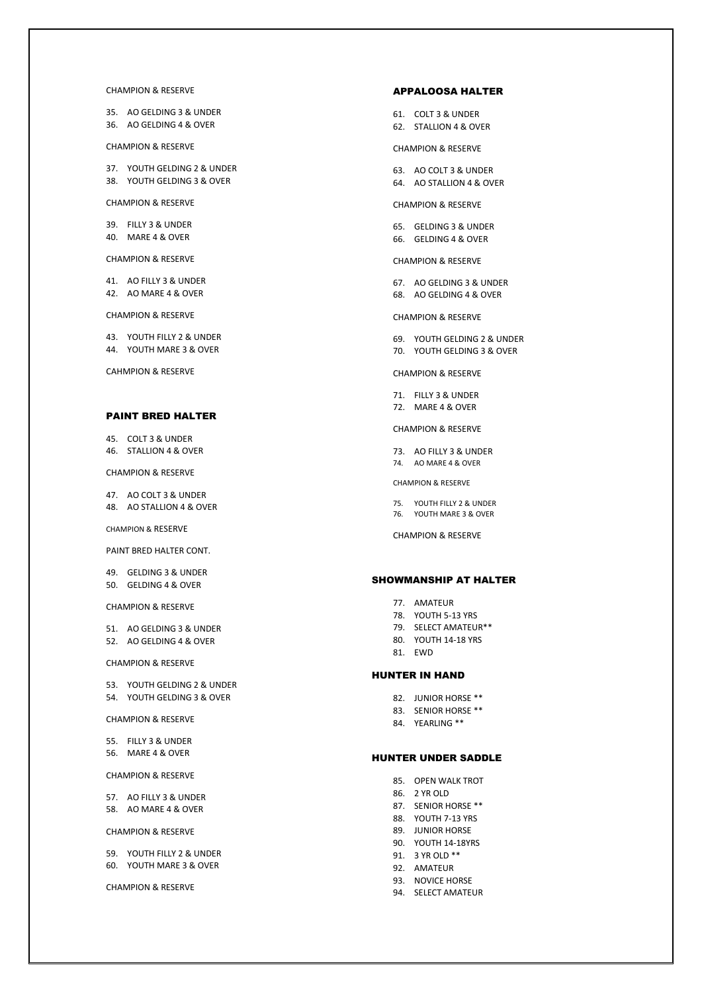#### CHAMPION & RESERVE

35. AO GELDING 3 & UNDER 36. AO GELDING 4 & OVER

CHAMPION & RESERVE

37. YOUTH GELDING 2 & UNDER 38. YOUTH GELDING 3 & OVER

CHAMPION & RESERVE

39. FILLY 3 & UNDER 40. MARE 4 & OVER

CHAMPION & RESERVE

41. AO FILLY 3 & UNDER 42. AO MARE 4 & OVER

CHAMPION & RESERVE

43. YOUTH FILLY 2 & UNDER 44. YOUTH MARE 3 & OVER

CAHMPION & RESERVE

#### PAINT BRED HALTER

45. COLT 3 & UNDER 46. STALLION 4 & OVER

CHAMPION & RESERVE

47. AO COLT 3 & UNDER 48. AO STALLION 4 & OVER

CHAMPION & RESERVE

PAINT BRED HALTER CONT.

49. GELDING 3 & UNDER 50. GELDING 4 & OVER

CHAMPION & RESERVE

51. AO GELDING 3 & UNDER 52. AO GELDING 4 & OVER

CHAMPION & RESERVE

53. YOUTH GELDING 2 & UNDER 54. YOUTH GELDING 3 & OVER

CHAMPION & RESERVE

55. FILLY 3 & UNDER 56. MARE 4 & OVER

CHAMPION & RESERVE

57. AO FILLY 3 & UNDER 58. AO MARE 4 & OVER

#### CHAMPION & RESERVE

59. YOUTH FILLY 2 & UNDER 60. YOUTH MARE 3 & OVER

CHAMPION & RESERVE

#### APPALOOSA HALTER

- 61. COLT 3 & UNDER 62. STALLION 4 & OVER
- 

# CHAMPION & RESERVE

- 63. AO COLT 3 & UNDER
- 64. AO STALLION 4 & OVER

CHAMPION & RESERVE

65. GELDING 3 & UNDER 66. GELDING 4 & OVER

CHAMPION & RESERVE

67. AO GELDING 3 & UNDER 68. AO GELDING 4 & OVER

#### CHAMPION & RESERVE

69. YOUTH GELDING 2 & UNDER 70. YOUTH GELDING 3 & OVER

CHAMPION & RESERVE

71. FILLY 3 & UNDER 72. MARE 4 & OVER

CHAMPION & RESERVE

73. AO FILLY 3 & UNDER 74. AO MARE 4 & OVER

CHAMPION & RESERVE

75. YOUTH FILLY 2 & UNDER 76. YOUTH MARE 3 & OVER

CHAMPION & RESERVE

#### SHOWMANSHIP AT HALTER

- 77. AMATEUR
- 78. YOUTH 5-13 YRS
- 79. SELECT AMATEUR\*\*
- 80. YOUTH 14-18 YRS
- 81. EWD

#### HUNTER IN HAND

- 82. JUNIOR HORSE \*\*
- 83. SENIOR HORSE \*\*
- 84. YEARLING \*\*

# HUNTER UNDER SADDLE

- 85. OPEN WALK TROT
- 86. 2 YR OLD
- 87. SENIOR HORSE \*\*
- 88. YOUTH 7-13 YRS
- 89. JUNIOR HORSE
- 90. YOUTH 14-18YRS
- 91. 3 YR OLD \*\*
- 92. AMATEUR
- 93. NOVICE HORSE
- 94. SELECT AMATEUR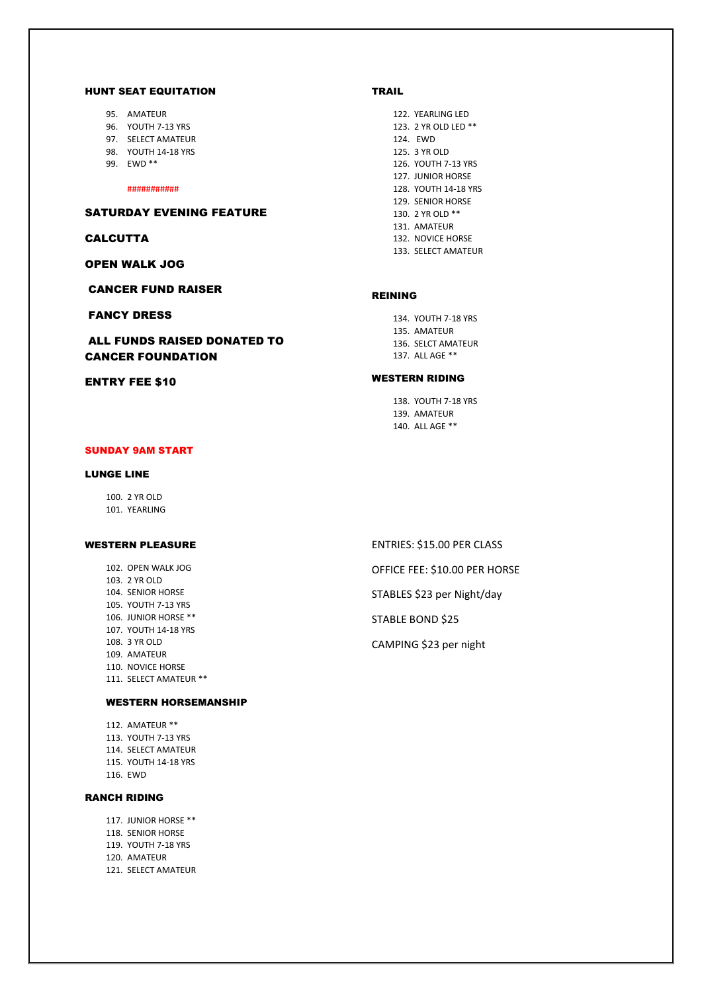#### HUNT SEAT EQUITATION

- 95. AMATEUR
- 96. YOUTH 7-13 YRS
- 97. SELECT AMATEUR
- 98. YOUTH 14-18 YRS
- 99. EWD \*\*

###########

# SATURDAY EVENING FEATURE

#### **CALCUTTA**

OPEN WALK JOG

CANCER FUND RAISER

# FANCY DRESS

ALL FUNDS RAISED DONATED TO CANCER FOUNDATION

# ENTRY FEE \$10

# SUNDAY 9AM START

## LUNGE LINE

100. 2 YR OLD 101. YEARLING

#### WESTERN PLEASURE

102. OPEN WALK JOG 103. 2 YR OLD 104. SENIOR HORSE 105. YOUTH 7-13 YRS 106. JUNIOR HORSE \*\* 107. YOUTH 14-18 YRS 108. 3 YR OLD 109. AMATEUR 110. NOVICE HORSE 111. SELECT AMATEUR \*\*

## WESTERN HORSEMANSHIP

112. AMATEUR \*\* 113. YOUTH 7-13 YRS 114. SELECT AMATEUR 115. YOUTH 14-18 YRS 116. EWD

# RANCH RIDING

- 117. JUNIOR HORSE \*\*
- 118. SENIOR HORSE
- 119. YOUTH 7-18 YRS
- 120. AMATEUR
- 121. SELECT AMATEUR

# TRAIL

122. YEARLING LED 123. 2 YR OLD LED \*\* 124. EWD 125. 3 YR OLD 126. YOUTH 7-13 YRS 127. JUNIOR HORSE 128. YOUTH 14-18 YRS 129. SENIOR HORSE 130. 2 YR OLD \*\* 131. AMATEUR 132. NOVICE HORSE 133. SELECT AMATEUR

#### REINING

134. YOUTH 7-18 YRS 135. AMATEUR 136. SELCT AMATEUR 137. ALL AGE \*\*

# WESTERN RIDING

138. YOUTH 7-18 YRS 139. AMATEUR 140. ALL AGE \*\*

- ENTRIES: \$15.00 PER CLASS
- OFFICE FEE: \$10.00 PER HORSE
- STABLES \$23 per Night/day

STABLE BOND \$25

CAMPING \$23 per night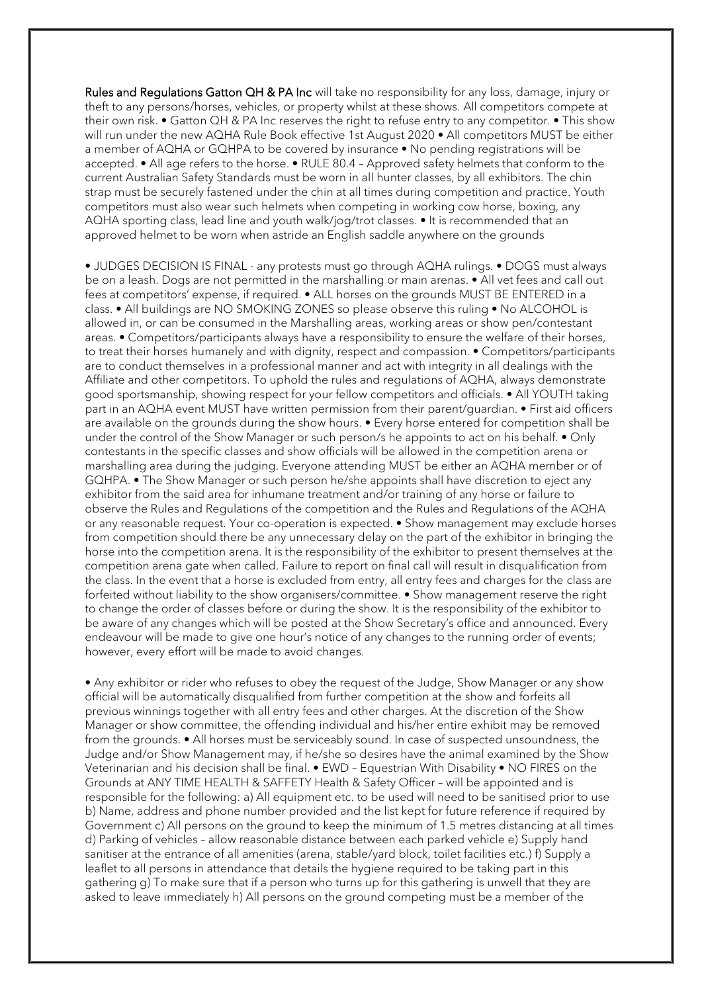Rules and Regulations Gatton QH & PA Inc will take no responsibility for any loss, damage, injury or theft to any persons/horses, vehicles, or property whilst at these shows. All competitors compete at their own risk. • Gatton QH & PA Inc reserves the right to refuse entry to any competitor. • This show will run under the new AQHA Rule Book effective 1st August 2020 • All competitors MUST be either a member of AQHA or GQHPA to be covered by insurance • No pending registrations will be accepted. • All age refers to the horse. • RULE 80.4 – Approved safety helmets that conform to the current Australian Safety Standards must be worn in all hunter classes, by all exhibitors. The chin strap must be securely fastened under the chin at all times during competition and practice. Youth competitors must also wear such helmets when competing in working cow horse, boxing, any AQHA sporting class, lead line and youth walk/jog/trot classes. • It is recommended that an approved helmet to be worn when astride an English saddle anywhere on the grounds

• JUDGES DECISION IS FINAL - any protests must go through AQHA rulings. • DOGS must always be on a leash. Dogs are not permitted in the marshalling or main arenas. • All vet fees and call out fees at competitors' expense, if required. • ALL horses on the grounds MUST BE ENTERED in a class. • All buildings are NO SMOKING ZONES so please observe this ruling • No ALCOHOL is allowed in, or can be consumed in the Marshalling areas, working areas or show pen/contestant areas. • Competitors/participants always have a responsibility to ensure the welfare of their horses, to treat their horses humanely and with dignity, respect and compassion. • Competitors/participants are to conduct themselves in a professional manner and act with integrity in all dealings with the Affiliate and other competitors. To uphold the rules and regulations of AQHA, always demonstrate good sportsmanship, showing respect for your fellow competitors and officials. • All YOUTH taking part in an AQHA event MUST have written permission from their parent/guardian. • First aid officers are available on the grounds during the show hours. • Every horse entered for competition shall be under the control of the Show Manager or such person/s he appoints to act on his behalf. • Only contestants in the specific classes and show officials will be allowed in the competition arena or marshalling area during the judging. Everyone attending MUST be either an AQHA member or of GQHPA. • The Show Manager or such person he/she appoints shall have discretion to eject any exhibitor from the said area for inhumane treatment and/or training of any horse or failure to observe the Rules and Regulations of the competition and the Rules and Regulations of the AQHA or any reasonable request. Your co-operation is expected. • Show management may exclude horses from competition should there be any unnecessary delay on the part of the exhibitor in bringing the horse into the competition arena. It is the responsibility of the exhibitor to present themselves at the competition arena gate when called. Failure to report on final call will result in disqualification from the class. In the event that a horse is excluded from entry, all entry fees and charges for the class are forfeited without liability to the show organisers/committee. • Show management reserve the right to change the order of classes before or during the show. It is the responsibility of the exhibitor to be aware of any changes which will be posted at the Show Secretary's office and announced. Every endeavour will be made to give one hour's notice of any changes to the running order of events; however, every effort will be made to avoid changes.

• Any exhibitor or rider who refuses to obey the request of the Judge, Show Manager or any show official will be automatically disqualified from further competition at the show and forfeits all previous winnings together with all entry fees and other charges. At the discretion of the Show Manager or show committee, the offending individual and his/her entire exhibit may be removed from the grounds. • All horses must be serviceably sound. In case of suspected unsoundness, the Judge and/or Show Management may, if he/she so desires have the animal examined by the Show Veterinarian and his decision shall be final. • EWD – Equestrian With Disability • NO FIRES on the Grounds at ANY TIME HEALTH & SAFFETY Health & Safety Officer – will be appointed and is responsible for the following: a) All equipment etc. to be used will need to be sanitised prior to use b) Name, address and phone number provided and the list kept for future reference if required by Government c) All persons on the ground to keep the minimum of 1.5 metres distancing at all times d) Parking of vehicles – allow reasonable distance between each parked vehicle e) Supply hand sanitiser at the entrance of all amenities (arena, stable/yard block, toilet facilities etc.) f) Supply a leaflet to all persons in attendance that details the hygiene required to be taking part in this gathering g) To make sure that if a person who turns up for this gathering is unwell that they are asked to leave immediately h) All persons on the ground competing must be a member of the